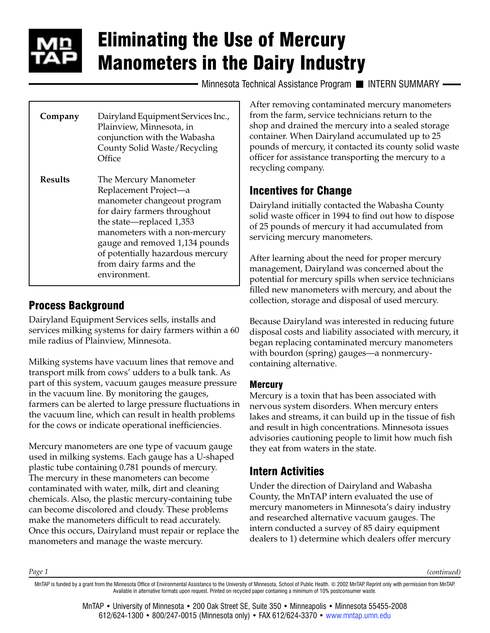

# Eliminating the Use of Mercury Manometers in the Dairy Industry

Minnesota Technical Assistance Program II INTERN SUMMARY -

| Company        | Dairyland Equipment Services Inc.,<br>Plainview, Minnesota, in<br>conjunction with the Wabasha<br>County Solid Waste/Recycling<br>Office                                                                                                                                                     |
|----------------|----------------------------------------------------------------------------------------------------------------------------------------------------------------------------------------------------------------------------------------------------------------------------------------------|
| <b>Results</b> | The Mercury Manometer<br>Replacement Project-a<br>manometer changeout program<br>for dairy farmers throughout<br>the state—replaced 1,353<br>manometers with a non-mercury<br>gauge and removed 1,134 pounds<br>of potentially hazardous mercury<br>from dairy farms and the<br>environment. |

## Process Background

Dairyland Equipment Services sells, installs and services milking systems for dairy farmers within a 60 mile radius of Plainview, Minnesota.

Milking systems have vacuum lines that remove and transport milk from cows' udders to a bulk tank. As part of this system, vacuum gauges measure pressure in the vacuum line. By monitoring the gauges, farmers can be alerted to large pressure fluctuations in the vacuum line, which can result in health problems for the cows or indicate operational inefficiencies.

Mercury manometers are one type of vacuum gauge used in milking systems. Each gauge has a U-shaped plastic tube containing 0.781 pounds of mercury. The mercury in these manometers can become contaminated with water, milk, dirt and cleaning chemicals. Also, the plastic mercury-containing tube can become discolored and cloudy. These problems make the manometers difficult to read accurately. Once this occurs, Dairyland must repair or replace the manometers and manage the waste mercury.

After removing contaminated mercury manometers from the farm, service technicians return to the shop and drained the mercury into a sealed storage container. When Dairyland accumulated up to 25 pounds of mercury, it contacted its county solid waste officer for assistance transporting the mercury to a recycling company.

## Incentives for Change

Dairyland initially contacted the Wabasha County solid waste officer in 1994 to find out how to dispose of 25 pounds of mercury it had accumulated from servicing mercury manometers.

After learning about the need for proper mercury management, Dairyland was concerned about the potential for mercury spills when service technicians filled new manometers with mercury, and about the collection, storage and disposal of used mercury.

Because Dairyland was interested in reducing future disposal costs and liability associated with mercury, it began replacing contaminated mercury manometers with bourdon (spring) gauges—a nonmercurycontaining alternative.

#### **Mercury**

Mercury is a toxin that has been associated with nervous system disorders. When mercury enters lakes and streams, it can build up in the tissue of fish and result in high concentrations. Minnesota issues advisories cautioning people to limit how much fish they eat from waters in the state.

## Intern Activities

Under the direction of Dairyland and Wabasha County, the MnTAP intern evaluated the use of mercury manometers in Minnesota's dairy industry and researched alternative vacuum gauges. The intern conducted a survey of 85 dairy equipment dealers to 1) determine which dealers offer mercury

*Page 1*

*(continued)*

MnTAP is funded by a grant from the Minnesota Office of Environmental Assistance to the University of Minnesota, School of Public Health. © 2002 MnTAP. Reprint only with permission from MnTAP. Available in alternative formats upon request. Printed on recycled paper containing a minimum of 10% postconsumer waste.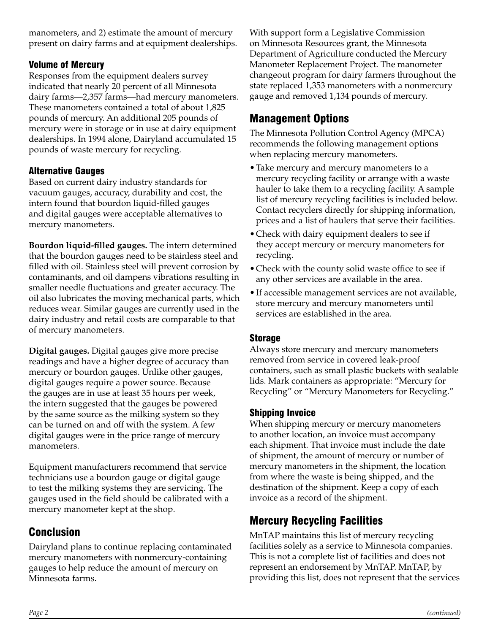manometers, and 2) estimate the amount of mercury present on dairy farms and at equipment dealerships.

#### Volume of Mercury

Responses from the equipment dealers survey indicated that nearly 20 percent of all Minnesota dairy farms—2,357 farms—had mercury manometers. These manometers contained a total of about 1,825 pounds of mercury. An additional 205 pounds of mercury were in storage or in use at dairy equipment dealerships. In 1994 alone, Dairyland accumulated 15 pounds of waste mercury for recycling.

#### Alternative Gauges

Based on current dairy industry standards for vacuum gauges, accuracy, durability and cost, the intern found that bourdon liquid-filled gauges and digital gauges were acceptable alternatives to mercury manometers.

**Bourdon liquid-filled gauges.** The intern determined that the bourdon gauges need to be stainless steel and filled with oil. Stainless steel will prevent corrosion by contaminants, and oil dampens vibrations resulting in smaller needle fluctuations and greater accuracy. The oil also lubricates the moving mechanical parts, which reduces wear. Similar gauges are currently used in the dairy industry and retail costs are comparable to that of mercury manometers.

**Digital gauges.** Digital gauges give more precise readings and have a higher degree of accuracy than mercury or bourdon gauges. Unlike other gauges, digital gauges require a power source. Because the gauges are in use at least 35 hours per week, the intern suggested that the gauges be powered by the same source as the milking system so they can be turned on and off with the system. A few digital gauges were in the price range of mercury manometers.

Equipment manufacturers recommend that service technicians use a bourdon gauge or digital gauge to test the milking systems they are servicing. The gauges used in the field should be calibrated with a mercury manometer kept at the shop.

## Conclusion

Dairyland plans to continue replacing contaminated mercury manometers with nonmercury-containing gauges to help reduce the amount of mercury on Minnesota farms.

With support form a Legislative Commission on Minnesota Resources grant, the Minnesota Department of Agriculture conducted the Mercury Manometer Replacement Project. The manometer changeout program for dairy farmers throughout the state replaced 1,353 manometers with a nonmercury gauge and removed 1,134 pounds of mercury.

## Management Options

The Minnesota Pollution Control Agency (MPCA) recommends the following management options when replacing mercury manometers.

- •Take mercury and mercury manometers to a mercury recycling facility or arrange with a waste hauler to take them to a recycling facility. A sample list of mercury recycling facilities is included below. Contact recyclers directly for shipping information, prices and a list of haulers that serve their facilities.
- •Check with dairy equipment dealers to see if they accept mercury or mercury manometers for recycling.
- •Check with the county solid waste office to see if any other services are available in the area.
- •If accessible management services are not available, store mercury and mercury manometers until services are established in the area.

#### Storage

Always store mercury and mercury manometers removed from service in covered leak-proof containers, such as small plastic buckets with sealable lids. Mark containers as appropriate: "Mercury for Recycling" or "Mercury Manometers for Recycling."

#### Shipping Invoice

When shipping mercury or mercury manometers to another location, an invoice must accompany each shipment. That invoice must include the date of shipment, the amount of mercury or number of mercury manometers in the shipment, the location from where the waste is being shipped, and the destination of the shipment. Keep a copy of each invoice as a record of the shipment.

## Mercury Recycling Facilities

MnTAP maintains this list of mercury recycling facilities solely as a service to Minnesota companies. This is not a complete list of facilities and does not represent an endorsement by MnTAP. MnTAP, by providing this list, does not represent that the services